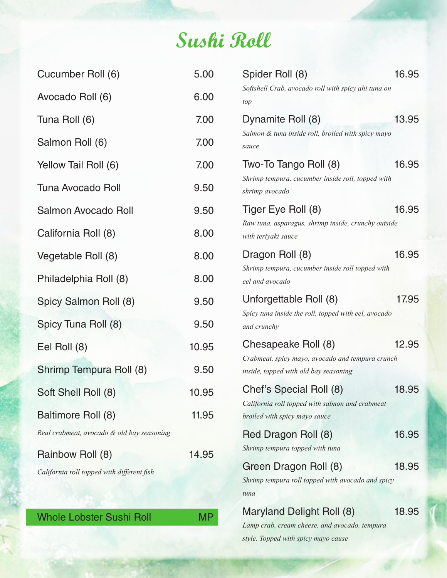## **Sushi Roll**

| Cucumber Roll (6)                          | 5.00      | Spider Roll (8)                                                                           | 16.95 |
|--------------------------------------------|-----------|-------------------------------------------------------------------------------------------|-------|
| Avocado Roll (6)                           | 6.00      | Softshell Crab, avocado roll with spicy ahi tuna on<br>top                                |       |
| Tuna Roll (6)                              | 7.00      | Dynamite Roll (8)                                                                         | 13.95 |
| Salmon Roll (6)                            | 7.00      | Salmon & tuna inside roll, broiled with spicy mayo<br>sauce                               |       |
| Yellow Tail Roll (6)                       | 7.00      | Two-To Tango Roll (8)                                                                     | 16.95 |
| <b>Tuna Avocado Roll</b>                   | 9.50      | Shrimp tempura, cucumber inside roll, topped with<br>shrimp avocado                       |       |
| Salmon Avocado Roll                        | 9.50      | Tiger Eye Roll (8)                                                                        | 16.95 |
| California Roll (8)                        | 8.00      | Raw tuna, asparagus, shrimp inside, crunchy outside<br>with teriyaki sauce                |       |
| Vegetable Roll (8)                         | 8.00      | Dragon Roll (8)                                                                           | 16.95 |
| Philadelphia Roll (8)                      | 8.00      | Shrimp tempura, cucumber inside roll topped with<br>eel and avocado                       |       |
| Spicy Salmon Roll (8)                      | 9.50      | Unforgettable Roll (8)                                                                    | 17.95 |
| Spicy Tuna Roll (8)                        | 9.50      | Spicy tuna inside the roll, topped with eel, avocado<br>and crunchy                       |       |
| Eel Roll (8)                               | 10.95     | Chesapeake Roll (8)                                                                       | 12.95 |
| Shrimp Tempura Roll (8)                    | 9.50      | Crabmeat, spicy mayo, avocado and tempura crunch<br>inside, topped with old bay seasoning |       |
| Soft Shell Roll (8)                        | 10.95     | Chef's Special Roll (8)<br>California roll topped with salmon and crabmeat                | 18.95 |
| Baltimore Roll (8)                         | 11.95     | broiled with spicy mayo sauce                                                             |       |
| Real crabmeat, avocado & old bay seasoning |           | Red Dragon Roll (8)                                                                       | 16.95 |
| Rainbow Roll (8)                           | 14.95     | Shrimp tempura topped with tuna                                                           |       |
| California roll topped with different fish |           | Green Dragon Roll (8)<br>Shrimp tempura roll topped with avocado and spicy                | 18.95 |
|                                            |           | tuna                                                                                      |       |
| <b>Whole Lobster Sushi Roll</b>            | <b>MP</b> | Maryland Delight Roll (8)<br>Lamp crab, cream cheese, and avocado, tempura                | 18.95 |

*style. Topped with spicy mayo cause*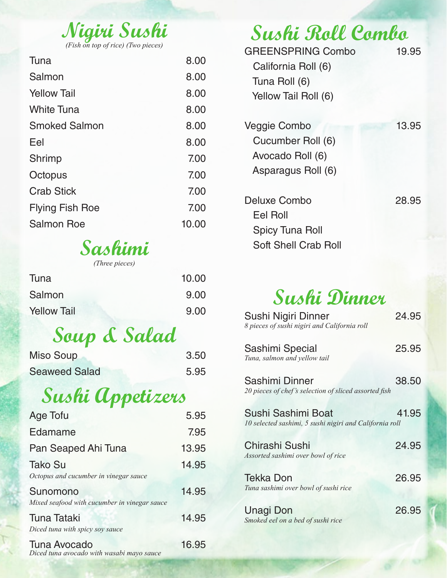| Nigiri Sushi |  |  |  |
|--------------|--|--|--|
|              |  |  |  |
|              |  |  |  |

| Tuna                   | 8.00  |
|------------------------|-------|
| Salmon                 | 8.00  |
| <b>Yellow Tail</b>     | 8.00  |
| <b>White Tuna</b>      | 8.00  |
| <b>Smoked Salmon</b>   | 8.00  |
| Eel                    | 8.00  |
| <b>Shrimp</b>          | 7.00  |
| Octopus                | 7.00  |
| <b>Crab Stick</b>      | 7.00  |
| <b>Flying Fish Roe</b> | 7.00  |
| <b>Salmon Roe</b>      | 10.00 |

## **Sashimi**

| (Three pieces) |
|----------------|
|----------------|

| Tuna                                         | 10.00 |
|----------------------------------------------|-------|
| Salmon                                       | 9.00  |
| <b>Yellow Tail</b>                           | 9.00  |
| Soup & Salad                                 |       |
| <b>Miso Soup</b>                             | 3.50  |
| <b>Seaweed Salad</b>                         | 5.95  |
| Sushi Appetizers                             |       |
| <b>Age Tofu</b>                              | 5.95  |
| Edamame                                      | 7.95  |
| Pan Seaped Ahi Tuna                          | 13.95 |
| <b>Tako Su</b>                               | 14.95 |
| Octopus and cucumber in vinegar sauce        |       |
| Sunomono                                     | 14.95 |
| Mixed seafood with cucumber in vinegar sauce |       |

Tuna Tataki 14.95

# **Sushi Roll Combo**

| <b>GREENSPRING Combo</b><br>California Roll (6)<br>Tuna Roll (6)<br>Yellow Tail Roll (6) | 19.95 |
|------------------------------------------------------------------------------------------|-------|
| Veggie Combo<br>Cucumber Roll (6)<br>Avocado Roll (6)<br>Asparagus Roll (6)              | 13.95 |
| Deluxe Combo<br>Eel Roll<br><b>Spicy Tuna Roll</b><br>Soft Shell Crab Roll               | 28.95 |

## **Sushi Dinner**

| Sushi Nigiri Dinner<br>8 pieces of sushi nigiri and California roll           | 24.95 |
|-------------------------------------------------------------------------------|-------|
| Sashimi Special<br>Tuna, salmon and yellow tail                               | 25.95 |
| Sashimi Dinner<br>20 pieces of chef's selection of sliced assorted fish       | 38.50 |
| Sushi Sashimi Boat<br>10 selected sashimi, 5 sushi nigiri and California roll | 41.95 |
| Chirashi Sushi<br>Assorted sashimi over bowl of rice                          | 24.95 |
| <b>Tekka Don</b><br>Tuna sashimi over bowl of sushi rice                      | 26.95 |
| Unagi Don<br>Smoked eel on a bed of sushi rice                                | 26.95 |

Tuna Avocado 16.95 *Diced tuna avocado with wasabi mayo sauce*

*Diced tuna with spicy soy sauce*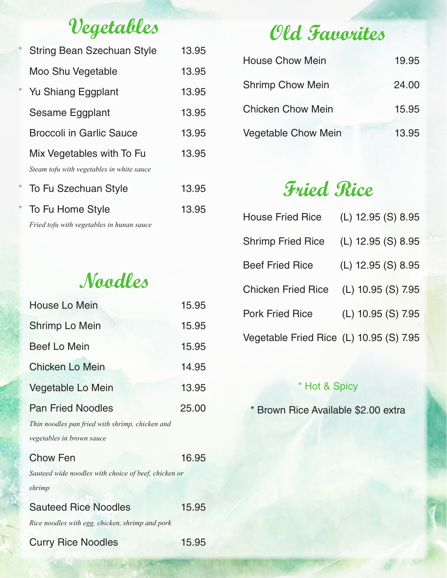## **Vegetables**

| $\ast$  | <b>String Bean Szechuan Style</b>                                      | 13.95 |
|---------|------------------------------------------------------------------------|-------|
|         | Moo Shu Vegetable                                                      | 13.95 |
| *       | Yu Shiang Eggplant                                                     | 13.95 |
|         | Sesame Eggplant                                                        | 13.95 |
|         | <b>Broccoli in Garlic Sauce</b>                                        | 13.95 |
|         | Mix Vegetables with To Fu<br>Steam tofu with vegetables in white sauce | 13.95 |
| *       | To Fu Szechuan Style                                                   | 13.95 |
| $\star$ | To Fu Home Style                                                       | 13.95 |
|         | $\blacksquare$ . 1 $\lhd$ . 1 $\blacksquare$ . 11 .                    |       |

*Fried tofu with vegetables in hunan sauce*

## **Noodles**

| House Lo Mein                                                               | 15.95 |
|-----------------------------------------------------------------------------|-------|
| Shrimp Lo Mein                                                              | 15.95 |
| <b>Beef Lo Mein</b>                                                         | 15.95 |
| <b>Chicken Lo Mein</b>                                                      | 14.95 |
| Vegetable Lo Mein                                                           | 13.95 |
| <b>Pan Fried Noodles</b><br>Thin noodles pan fried with shrimp, chicken and | 25.00 |
| vegetables in brown sauce                                                   |       |
| <b>Chow Fen</b>                                                             | 16.95 |
| Sauteed wide noodles with choice of beef, chicken or                        |       |
| shrimp                                                                      |       |

Sauteed Rice Noodles 15.95 *Rice noodles with egg, chicken, shrimp and pork*

#### Curry Rice Noodles 15.95

## **Old Favorites**

| <b>House Chow Mein</b>     | 19.95 |
|----------------------------|-------|
| <b>Shrimp Chow Mein</b>    | 24.00 |
| <b>Chicken Chow Mein</b>   | 15.95 |
| <b>Vegetable Chow Mein</b> | 13.95 |

## **Fried Rice**

| <b>House Fried Rice</b>                 | (L) 12.95 (S) 8.95 |
|-----------------------------------------|--------------------|
| <b>Shrimp Fried Rice</b>                | (L) 12.95 (S) 8.95 |
| <b>Beef Fried Rice</b>                  | (L) 12.95 (S) 8.95 |
| <b>Chicken Fried Rice</b>               | (L) 10.95 (S) 7.95 |
| <b>Pork Fried Rice</b>                  | (L) 10.95 (S) 7.95 |
| Vegetable Fried Rice (L) 10.95 (S) 7.95 |                    |

#### \* Hot & Spicy

\* Brown Rice Available \$2.00 extra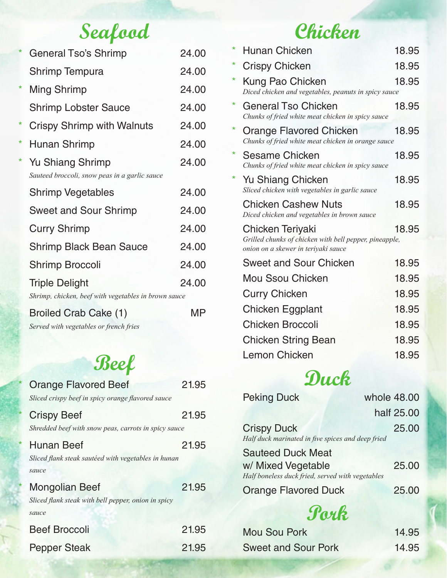## **Seafood**

|         | <b>General Tso's Shrimp</b>                                                   | 24.00 |
|---------|-------------------------------------------------------------------------------|-------|
|         | Shrimp Tempura                                                                | 24.00 |
| $\star$ | <b>Ming Shrimp</b>                                                            | 24.00 |
|         | <b>Shrimp Lobster Sauce</b>                                                   | 24.00 |
| *       | Crispy Shrimp with Walnuts                                                    | 24.00 |
| $\ast$  | Hunan Shrimp                                                                  | 24.00 |
| $\star$ | <b>Yu Shiang Shrimp</b><br>Sauteed broccoli, snow peas in a garlic sauce      | 24.00 |
|         | <b>Shrimp Vegetables</b>                                                      | 24.00 |
|         | <b>Sweet and Sour Shrimp</b>                                                  | 24.00 |
|         | <b>Curry Shrimp</b>                                                           | 24.00 |
|         | <b>Shrimp Black Bean Sauce</b>                                                | 24.00 |
|         | Shrimp Broccoli                                                               | 24.00 |
|         | <b>Triple Delight</b><br>Shrimp, chicken, beef with vegetables in brown sauce | 24.00 |
|         |                                                                               |       |

Broiled Crab Cake (1) MP

*Served with vegetables or french fries*

## **Beef**

| <b>Orange Flavored Beef</b><br>Sliced crispy beef in spicy orange flavored sauce      | 21.95 |
|---------------------------------------------------------------------------------------|-------|
| <b>Crispy Beef</b><br>Shredded beef with snow peas, carrots in spicy sauce            | 21.95 |
| <b>Hunan Beef</b><br>Sliced flank steak sautéed with vegetables in hunan<br>sauce     | 21.95 |
| <b>Mongolian Beef</b><br>Sliced flank steak with bell pepper, onion in spicy<br>sauce | 21.95 |
| <b>Beef Broccoli</b>                                                                  | 21.95 |
| <b>Pepper Steak</b>                                                                   | 21.95 |

## **Chicken**

| $\star$  | <b>Hunan Chicken</b>                                                                                                     | 18.95 |
|----------|--------------------------------------------------------------------------------------------------------------------------|-------|
| $^\star$ | <b>Crispy Chicken</b>                                                                                                    | 18.95 |
| $^\star$ | <b>Kung Pao Chicken</b><br>Diced chicken and vegetables, peanuts in spicy sauce                                          | 18.95 |
| $^\star$ | <b>General Tso Chicken</b><br>Chunks of fried white meat chicken in spicy sauce                                          | 18.95 |
| $^\star$ | Orange Flavored Chicken<br>Chunks of fried white meat chicken in orange sauce                                            | 18.95 |
| *        | Sesame Chicken<br>Chunks of fried white meat chicken in spicy sauce                                                      | 18.95 |
| *        | Yu Shiang Chicken<br>Sliced chicken with vegetables in garlic sauce                                                      | 18.95 |
|          | <b>Chicken Cashew Nuts</b><br>Diced chicken and vegetables in brown sauce                                                | 18.95 |
|          | <b>Chicken Teriyaki</b><br>Grilled chunks of chicken with bell pepper, pineapple,<br>onion on a skewer in teriyaki sauce | 18.95 |
|          | <b>Sweet and Sour Chicken</b>                                                                                            | 18.95 |
|          | <b>Mou Ssou Chicken</b>                                                                                                  | 18.95 |
|          | <b>Curry Chicken</b>                                                                                                     | 18.95 |
|          | Chicken Eggplant                                                                                                         | 18.95 |
|          | Chicken Broccoli                                                                                                         | 18.95 |
|          | <b>Chicken String Bean</b>                                                                                               | 18.95 |
|          | Lemon Chicken                                                                                                            | 18.95 |
| Duck     |                                                                                                                          |       |

| <b>Peking Duck</b>                                | whole 48.00 |
|---------------------------------------------------|-------------|
|                                                   | half 25,00  |
| <b>Crispy Duck</b>                                | 25.00       |
| Half duck marinated in five spices and deep fried |             |
| <b>Sauteed Duck Meat</b>                          |             |

| w/ Mixed Vegetable                               | 25.00 |
|--------------------------------------------------|-------|
| Half boneless duck fried, served with vegetables |       |
|                                                  |       |

Orange Flavored Duck 25.00

## **Pork**

| Mou Sou Pork               | 14.95 |
|----------------------------|-------|
| <b>Sweet and Sour Pork</b> | 14.95 |